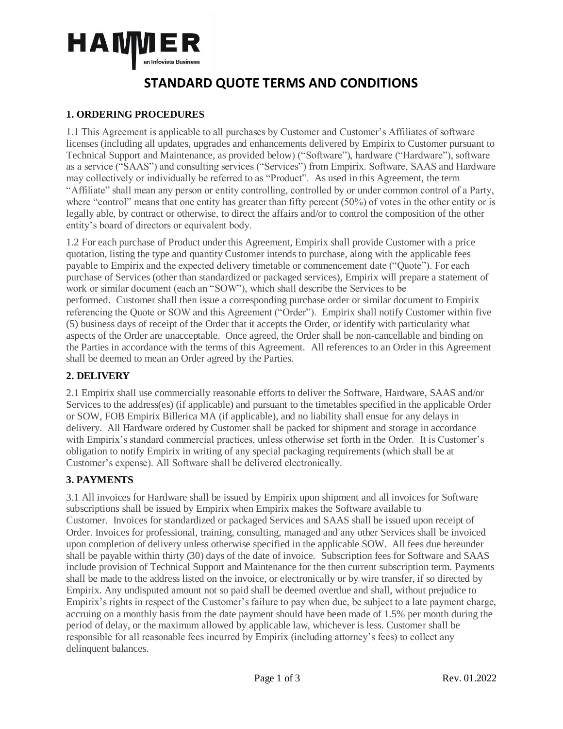

### **1. ORDERING PROCEDURES**

1.1 This Agreement is applicable to all purchases by Customer and Customer's Affiliates of software licenses (including all updates, upgrades and enhancements delivered by Empirix to Customer pursuant to Technical Support and Maintenance, as provided below) ("Software"), hardware ("Hardware"), software as a service ("SAAS") and consulting services ("Services") from Empirix. Software, SAAS and Hardware may collectively or individually be referred to as "Product". As used in this Agreement, the term "Affiliate" shall mean any person or entity controlling, controlled by or under common control of a Party, where "control" means that one entity has greater than fifty percent (50%) of votes in the other entity or is legally able, by contract or otherwise, to direct the affairs and/or to control the composition of the other entity's board of directors or equivalent body.

1.2 For each purchase of Product under this Agreement, Empirix shall provide Customer with a price quotation, listing the type and quantity Customer intends to purchase, along with the applicable fees payable to Empirix and the expected delivery timetable or commencement date ("Quote"). For each purchase of Services (other than standardized or packaged services), Empirix will prepare a statement of work or similar document (each an "SOW"), which shall describe the Services to be performed. Customer shall then issue a corresponding purchase order or similar document to Empirix referencing the Quote or SOW and this Agreement ("Order"). Empirix shall notify Customer within five (5) business days of receipt of the Order that it accepts the Order, or identify with particularity what aspects of the Order are unacceptable. Once agreed, the Order shall be non-cancellable and binding on the Parties in accordance with the terms of this Agreement. All references to an Order in this Agreement shall be deemed to mean an Order agreed by the Parties.

#### **2. DELIVERY**

2.1 Empirix shall use commercially reasonable efforts to deliver the Software, Hardware, SAAS and/or Services to the address(es) (if applicable) and pursuant to the timetables specified in the applicable Order or SOW, FOB Empirix Billerica MA (if applicable), and no liability shall ensue for any delays in delivery. All Hardware ordered by Customer shall be packed for shipment and storage in accordance with Empirix's standard commercial practices, unless otherwise set forth in the Order. It is Customer's obligation to notify Empirix in writing of any special packaging requirements (which shall be at Customer's expense). All Software shall be delivered electronically.

#### **3. PAYMENTS**

3.1 All invoices for Hardware shall be issued by Empirix upon shipment and all invoices for Software subscriptions shall be issued by Empirix when Empirix makes the Software available to Customer. Invoices for standardized or packaged Services and SAAS shall be issued upon receipt of Order. Invoices for professional, training, consulting, managed and any other Services shall be invoiced upon completion of delivery unless otherwise specified in the applicable SOW. All fees due hereunder shall be payable within thirty (30) days of the date of invoice. Subscription fees for Software and SAAS include provision of Technical Support and Maintenance for the then current subscription term. Payments shall be made to the address listed on the invoice, or electronically or by wire transfer, if so directed by Empirix. Any undisputed amount not so paid shall be deemed overdue and shall, without prejudice to Empirix's rights in respect of the Customer's failure to pay when due, be subject to a late payment charge, accruing on a monthly basis from the date payment should have been made of 1.5% per month during the period of delay, or the maximum allowed by applicable law, whichever is less. Customer shall be responsible for all reasonable fees incurred by Empirix (including attorney's fees) to collect any delinquent balances.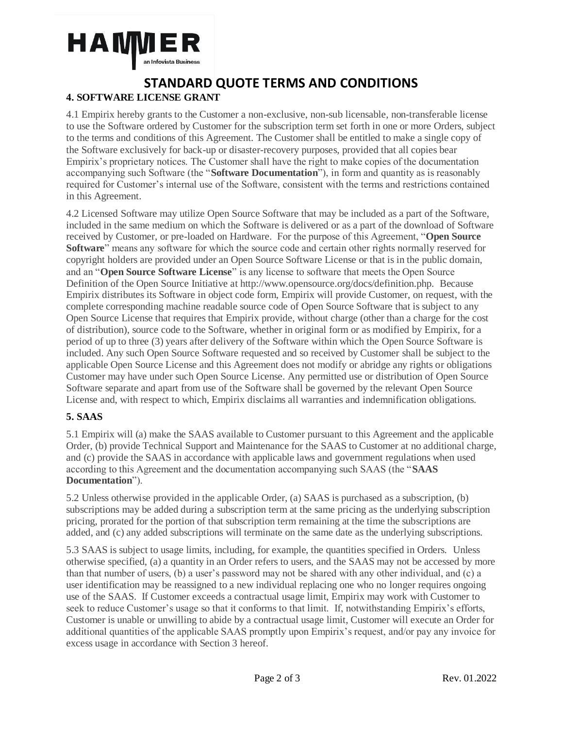

### **STANDARD QUOTE TERMS AND CONDITIONS 4. SOFTWARE LICENSE GRANT**

4.1 Empirix hereby grants to the Customer a non-exclusive, non-sub licensable, non-transferable license to use the Software ordered by Customer for the subscription term set forth in one or more Orders, subject to the terms and conditions of this Agreement. The Customer shall be entitled to make a single copy of the Software exclusively for back-up or disaster-recovery purposes, provided that all copies bear Empirix's proprietary notices. The Customer shall have the right to make copies of the documentation accompanying such Software (the "**Software Documentation**"), in form and quantity as is reasonably required for Customer's internal use of the Software, consistent with the terms and restrictions contained in this Agreement.

4.2 Licensed Software may utilize Open Source Software that may be included as a part of the Software, included in the same medium on which the Software is delivered or as a part of the download of Software received by Customer, or pre-loaded on Hardware. For the purpose of this Agreement, "**Open Source Software**" means any software for which the source code and certain other rights normally reserved for copyright holders are provided under an Open Source Software License or that is in the public domain, and an "**Open Source Software License**" is any license to software that meets the Open Source Definition of the Open Source Initiative at http://www.opensource.org/docs/definition.php. Because Empirix distributes its Software in object code form, Empirix will provide Customer, on request, with the complete corresponding machine readable source code of Open Source Software that is subject to any Open Source License that requires that Empirix provide, without charge (other than a charge for the cost of distribution), source code to the Software, whether in original form or as modified by Empirix, for a period of up to three (3) years after delivery of the Software within which the Open Source Software is included. Any such Open Source Software requested and so received by Customer shall be subject to the applicable Open Source License and this Agreement does not modify or abridge any rights or obligations Customer may have under such Open Source License. Any permitted use or distribution of Open Source Software separate and apart from use of the Software shall be governed by the relevant Open Source License and, with respect to which, Empirix disclaims all warranties and indemnification obligations.

#### **5. SAAS**

5.1 Empirix will (a) make the SAAS available to Customer pursuant to this Agreement and the applicable Order, (b) provide Technical Support and Maintenance for the SAAS to Customer at no additional charge, and (c) provide the SAAS in accordance with applicable laws and government regulations when used according to this Agreement and the documentation accompanying such SAAS (the "**SAAS Documentation**").

5.2 Unless otherwise provided in the applicable Order, (a) SAAS is purchased as a subscription, (b) subscriptions may be added during a subscription term at the same pricing as the underlying subscription pricing, prorated for the portion of that subscription term remaining at the time the subscriptions are added, and (c) any added subscriptions will terminate on the same date as the underlying subscriptions.

5.3 SAAS is subject to usage limits, including, for example, the quantities specified in Orders. Unless otherwise specified, (a) a quantity in an Order refers to users, and the SAAS may not be accessed by more than that number of users, (b) a user's password may not be shared with any other individual, and (c) a user identification may be reassigned to a new individual replacing one who no longer requires ongoing use of the SAAS. If Customer exceeds a contractual usage limit, Empirix may work with Customer to seek to reduce Customer's usage so that it conforms to that limit. If, notwithstanding Empirix's efforts, Customer is unable or unwilling to abide by a contractual usage limit, Customer will execute an Order for additional quantities of the applicable SAAS promptly upon Empirix's request, and/or pay any invoice for excess usage in accordance with Section 3 hereof.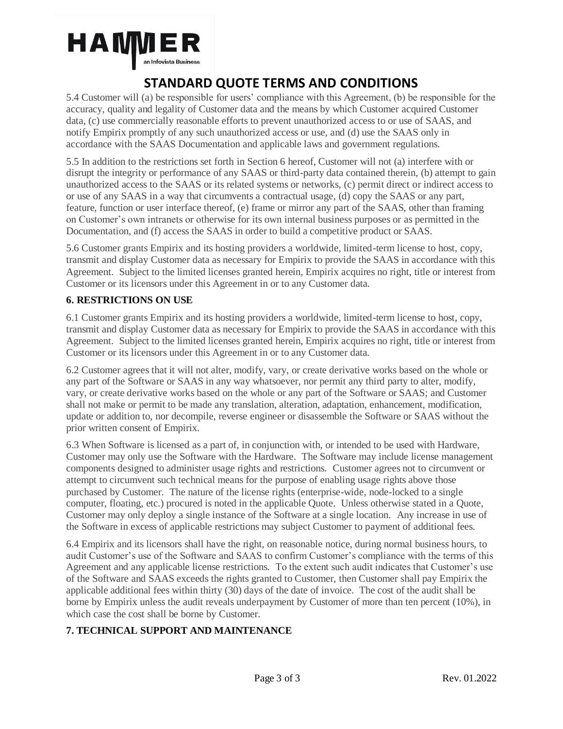

5.4 Customer will (a) be responsible for users' compliance with this Agreement, (b) be responsible for the accuracy, quality and legality of Customer data and the means by which Customer acquired Customer data, (c) use commercially reasonable efforts to prevent unauthorized access to or use of SAAS, and notify Empirix promptly of any such unauthorized access or use, and (d) use the SAAS only in accordance with the SAAS Documentation and applicable laws and government regulations.

5.5 In addition to the restrictions set forth in Section 6 hereof, Customer will not (a) interfere with or disrupt the integrity or performance of any SAAS or third-party data contained therein, (b) attempt to gain unauthorized access to the SAAS or its related systems or networks, (c) permit direct or indirect access to or use of any SAAS in a way that circumvents a contractual usage, (d) copy the SAAS or any part, feature, function or user interface thereof, (e) frame or mirror any part of the SAAS, other than framing on Customer's own intranets or otherwise for its own internal business purposes or as permitted in the Documentation, and (f) access the SAAS in order to build a competitive product or SAAS.

5.6 Customer grants Empirix and its hosting providers a worldwide, limited-term license to host, copy, transmit and display Customer data as necessary for Empirix to provide the SAAS in accordance with this Agreement. Subject to the limited licenses granted herein, Empirix acquires no right, title or interest from Customer or its licensors under this Agreement in or to any Customer data.

#### **6. RESTRICTIONS ON USE**

6.1 Customer grants Empirix and its hosting providers a worldwide, limited-term license to host, copy, transmit and display Customer data as necessary for Empirix to provide the SAAS in accordance with this Agreement. Subject to the limited licenses granted herein, Empirix acquires no right, title or interest from Customer or its licensors under this Agreement in or to any Customer data.

6.2 Customer agrees that it will not alter, modify, vary, or create derivative works based on the whole or any part of the Software or SAAS in any way whatsoever, nor permit any third party to alter, modify, vary, or create derivative works based on the whole or any part of the Software or SAAS; and Customer shall not make or permit to be made any translation, alteration, adaptation, enhancement, modification, update or addition to, nor decompile, reverse engineer or disassemble the Software or SAAS without the prior written consent of Empirix.

6.3 When Software is licensed as a part of, in conjunction with, or intended to be used with Hardware, Customer may only use the Software with the Hardware. The Software may include license management components designed to administer usage rights and restrictions. Customer agrees not to circumvent or attempt to circumvent such technical means for the purpose of enabling usage rights above those purchased by Customer. The nature of the license rights (enterprise-wide, node-locked to a single computer, floating, etc.) procured is noted in the applicable Quote. Unless otherwise stated in a Quote, Customer may only deploy a single instance of the Software at a single location. Any increase in use of the Software in excess of applicable restrictions may subject Customer to payment of additional fees.

6.4 Empirix and its licensors shall have the right, on reasonable notice, during normal business hours, to audit Customer's use of the Software and SAAS to confirm Customer's compliance with the terms of this Agreement and any applicable license restrictions. To the extent such audit indicates that Customer's use of the Software and SAAS exceeds the rights granted to Customer, then Customer shall pay Empirix the applicable additional fees within thirty (30) days of the date of invoice. The cost of the audit shall be borne by Empirix unless the audit reveals underpayment by Customer of more than ten percent (10%), in which case the cost shall be borne by Customer.

### **7. TECHNICAL SUPPORT AND MAINTENANCE**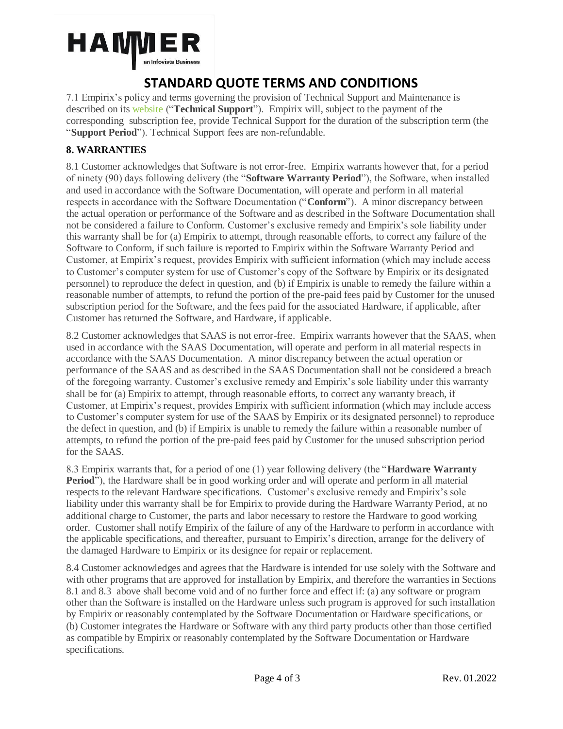

7.1 Empirix's policy and terms governing the provision of Technical Support and Maintenance is described on its [website](https://18k1a11pzatb18ebp03ur3jr-wpengine.netdna-ssl.com/wp-content/uploads/2019/07/Support_and_Maintenance_Agreement_v2018.pdf) ("**Technical Support**"). Empirix will, subject to the payment of the corresponding subscription fee, provide Technical Support for the duration of the subscription term (the "**Support Period**"). Technical Support fees are non-refundable.

### **8. WARRANTIES**

8.1 Customer acknowledges that Software is not error-free. Empirix warrants however that, for a period of ninety (90) days following delivery (the "**Software Warranty Period**"), the Software, when installed and used in accordance with the Software Documentation, will operate and perform in all material respects in accordance with the Software Documentation ("**Conform**"). A minor discrepancy between the actual operation or performance of the Software and as described in the Software Documentation shall not be considered a failure to Conform. Customer's exclusive remedy and Empirix's sole liability under this warranty shall be for (a) Empirix to attempt, through reasonable efforts, to correct any failure of the Software to Conform, if such failure is reported to Empirix within the Software Warranty Period and Customer, at Empirix's request, provides Empirix with sufficient information (which may include access to Customer's computer system for use of Customer's copy of the Software by Empirix or its designated personnel) to reproduce the defect in question, and (b) if Empirix is unable to remedy the failure within a reasonable number of attempts, to refund the portion of the pre-paid fees paid by Customer for the unused subscription period for the Software, and the fees paid for the associated Hardware, if applicable, after Customer has returned the Software, and Hardware, if applicable.

8.2 Customer acknowledges that SAAS is not error-free. Empirix warrants however that the SAAS, when used in accordance with the SAAS Documentation, will operate and perform in all material respects in accordance with the SAAS Documentation. A minor discrepancy between the actual operation or performance of the SAAS and as described in the SAAS Documentation shall not be considered a breach of the foregoing warranty. Customer's exclusive remedy and Empirix's sole liability under this warranty shall be for (a) Empirix to attempt, through reasonable efforts, to correct any warranty breach, if Customer, at Empirix's request, provides Empirix with sufficient information (which may include access to Customer's computer system for use of the SAAS by Empirix or its designated personnel) to reproduce the defect in question, and (b) if Empirix is unable to remedy the failure within a reasonable number of attempts, to refund the portion of the pre-paid fees paid by Customer for the unused subscription period for the SAAS.

8.3 Empirix warrants that, for a period of one (1) year following delivery (the "**Hardware Warranty Period**"), the Hardware shall be in good working order and will operate and perform in all material respects to the relevant Hardware specifications. Customer's exclusive remedy and Empirix's sole liability under this warranty shall be for Empirix to provide during the Hardware Warranty Period, at no additional charge to Customer, the parts and labor necessary to restore the Hardware to good working order. Customer shall notify Empirix of the failure of any of the Hardware to perform in accordance with the applicable specifications, and thereafter, pursuant to Empirix's direction, arrange for the delivery of the damaged Hardware to Empirix or its designee for repair or replacement.

8.4 Customer acknowledges and agrees that the Hardware is intended for use solely with the Software and with other programs that are approved for installation by Empirix, and therefore the warranties in Sections 8.1 and 8.3 above shall become void and of no further force and effect if: (a) any software or program other than the Software is installed on the Hardware unless such program is approved for such installation by Empirix or reasonably contemplated by the Software Documentation or Hardware specifications, or (b) Customer integrates the Hardware or Software with any third party products other than those certified as compatible by Empirix or reasonably contemplated by the Software Documentation or Hardware specifications.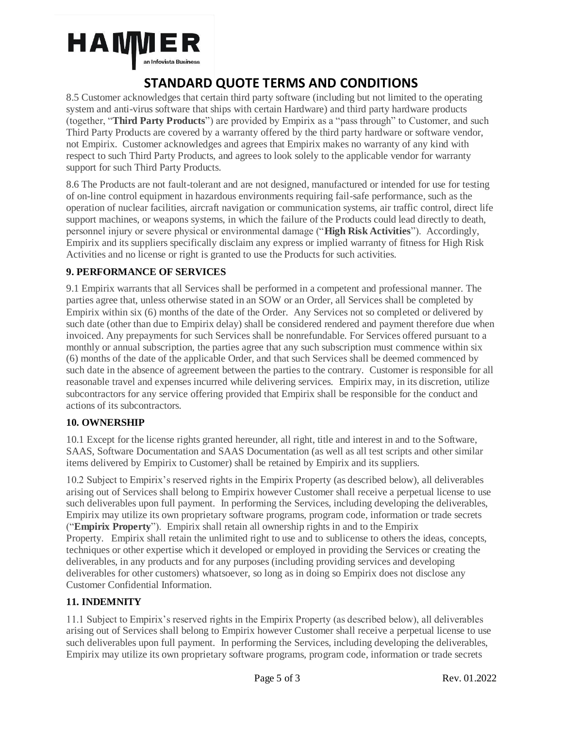

8.5 Customer acknowledges that certain third party software (including but not limited to the operating system and anti-virus software that ships with certain Hardware) and third party hardware products (together, "**Third Party Products**") are provided by Empirix as a "pass through" to Customer, and such Third Party Products are covered by a warranty offered by the third party hardware or software vendor, not Empirix. Customer acknowledges and agrees that Empirix makes no warranty of any kind with respect to such Third Party Products, and agrees to look solely to the applicable vendor for warranty support for such Third Party Products.

8.6 The Products are not fault-tolerant and are not designed, manufactured or intended for use for testing of on-line control equipment in hazardous environments requiring fail-safe performance, such as the operation of nuclear facilities, aircraft navigation or communication systems, air traffic control, direct life support machines, or weapons systems, in which the failure of the Products could lead directly to death, personnel injury or severe physical or environmental damage ("**High Risk Activities**"). Accordingly, Empirix and its suppliers specifically disclaim any express or implied warranty of fitness for High Risk Activities and no license or right is granted to use the Products for such activities.

### **9. PERFORMANCE OF SERVICES**

9.1 Empirix warrants that all Services shall be performed in a competent and professional manner. The parties agree that, unless otherwise stated in an SOW or an Order, all Services shall be completed by Empirix within six (6) months of the date of the Order. Any Services not so completed or delivered by such date (other than due to Empirix delay) shall be considered rendered and payment therefore due when invoiced. Any prepayments for such Services shall be nonrefundable. For Services offered pursuant to a monthly or annual subscription, the parties agree that any such subscription must commence within six (6) months of the date of the applicable Order, and that such Services shall be deemed commenced by such date in the absence of agreement between the parties to the contrary. Customer is responsible for all reasonable travel and expenses incurred while delivering services. Empirix may, in its discretion, utilize subcontractors for any service offering provided that Empirix shall be responsible for the conduct and actions of its subcontractors.

#### **10. OWNERSHIP**

10.1 Except for the license rights granted hereunder, all right, title and interest in and to the Software, SAAS, Software Documentation and SAAS Documentation (as well as all test scripts and other similar items delivered by Empirix to Customer) shall be retained by Empirix and its suppliers.

10.2 Subject to Empirix's reserved rights in the Empirix Property (as described below), all deliverables arising out of Services shall belong to Empirix however Customer shall receive a perpetual license to use such deliverables upon full payment. In performing the Services, including developing the deliverables, Empirix may utilize its own proprietary software programs, program code, information or trade secrets ("**Empirix Property**"). Empirix shall retain all ownership rights in and to the Empirix Property. Empirix shall retain the unlimited right to use and to sublicense to others the ideas, concepts, techniques or other expertise which it developed or employed in providing the Services or creating the deliverables, in any products and for any purposes (including providing services and developing deliverables for other customers) whatsoever, so long as in doing so Empirix does not disclose any Customer Confidential Information.

#### **11. INDEMNITY**

11.1 Subject to Empirix's reserved rights in the Empirix Property (as described below), all deliverables arising out of Services shall belong to Empirix however Customer shall receive a perpetual license to use such deliverables upon full payment. In performing the Services, including developing the deliverables, Empirix may utilize its own proprietary software programs, program code, information or trade secrets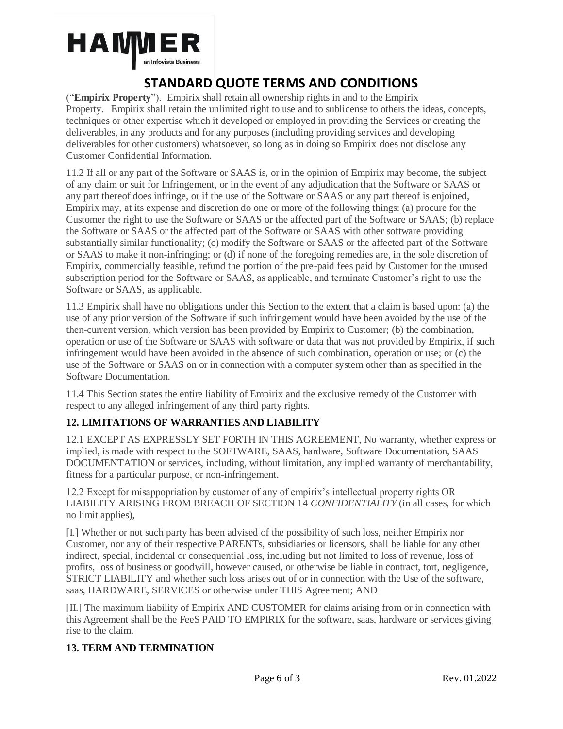

("**Empirix Property**"). Empirix shall retain all ownership rights in and to the Empirix Property. Empirix shall retain the unlimited right to use and to sublicense to others the ideas, concepts, techniques or other expertise which it developed or employed in providing the Services or creating the deliverables, in any products and for any purposes (including providing services and developing deliverables for other customers) whatsoever, so long as in doing so Empirix does not disclose any Customer Confidential Information.

11.2 If all or any part of the Software or SAAS is, or in the opinion of Empirix may become, the subject of any claim or suit for Infringement, or in the event of any adjudication that the Software or SAAS or any part thereof does infringe, or if the use of the Software or SAAS or any part thereof is enjoined, Empirix may, at its expense and discretion do one or more of the following things: (a) procure for the Customer the right to use the Software or SAAS or the affected part of the Software or SAAS; (b) replace the Software or SAAS or the affected part of the Software or SAAS with other software providing substantially similar functionality; (c) modify the Software or SAAS or the affected part of the Software or SAAS to make it non-infringing; or (d) if none of the foregoing remedies are, in the sole discretion of Empirix, commercially feasible, refund the portion of the pre-paid fees paid by Customer for the unused subscription period for the Software or SAAS, as applicable, and terminate Customer's right to use the Software or SAAS, as applicable.

11.3 Empirix shall have no obligations under this Section to the extent that a claim is based upon: (a) the use of any prior version of the Software if such infringement would have been avoided by the use of the then-current version, which version has been provided by Empirix to Customer; (b) the combination, operation or use of the Software or SAAS with software or data that was not provided by Empirix, if such infringement would have been avoided in the absence of such combination, operation or use; or (c) the use of the Software or SAAS on or in connection with a computer system other than as specified in the Software Documentation.

11.4 This Section states the entire liability of Empirix and the exclusive remedy of the Customer with respect to any alleged infringement of any third party rights.

### **12. LIMITATIONS OF WARRANTIES AND LIABILITY**

12.1 EXCEPT AS EXPRESSLY SET FORTH IN THIS AGREEMENT, No warranty, whether express or implied, is made with respect to the SOFTWARE, SAAS, hardware, Software Documentation, SAAS DOCUMENTATION or services, including, without limitation, any implied warranty of merchantability, fitness for a particular purpose, or non-infringement.

12.2 Except for misappopriation by customer of any of empirix's intellectual property rights OR LIABILITY ARISING FROM BREACH OF SECTION 14 *CONFIDENTIALITY* (in all cases, for which no limit applies),

[I.] Whether or not such party has been advised of the possibility of such loss, neither Empirix nor Customer, nor any of their respective PARENTs, subsidiaries or licensors, shall be liable for any other indirect, special, incidental or consequential loss, including but not limited to loss of revenue, loss of profits, loss of business or goodwill, however caused, or otherwise be liable in contract, tort, negligence, STRICT LIABILITY and whether such loss arises out of or in connection with the Use of the software, saas, HARDWARE, SERVICES or otherwise under THIS Agreement; AND

[II.] The maximum liability of Empirix AND CUSTOMER for claims arising from or in connection with this Agreement shall be the FeeS PAID TO EMPIRIX for the software, saas, hardware or services giving rise to the claim.

### **13. TERM AND TERMINATION**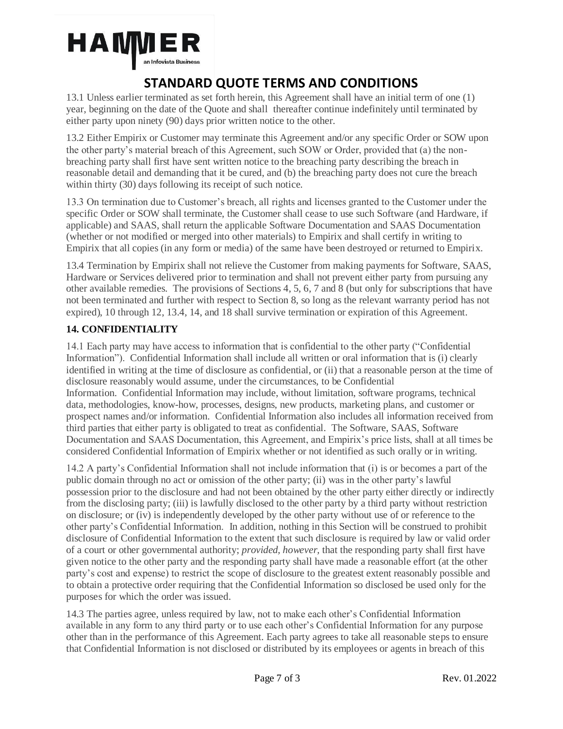

13.1 Unless earlier terminated as set forth herein, this Agreement shall have an initial term of one (1) year, beginning on the date of the Quote and shall thereafter continue indefinitely until terminated by either party upon ninety (90) days prior written notice to the other.

13.2 Either Empirix or Customer may terminate this Agreement and/or any specific Order or SOW upon the other party's material breach of this Agreement, such SOW or Order, provided that (a) the nonbreaching party shall first have sent written notice to the breaching party describing the breach in reasonable detail and demanding that it be cured, and (b) the breaching party does not cure the breach within thirty (30) days following its receipt of such notice.

13.3 On termination due to Customer's breach, all rights and licenses granted to the Customer under the specific Order or SOW shall terminate, the Customer shall cease to use such Software (and Hardware, if applicable) and SAAS, shall return the applicable Software Documentation and SAAS Documentation (whether or not modified or merged into other materials) to Empirix and shall certify in writing to Empirix that all copies (in any form or media) of the same have been destroyed or returned to Empirix.

13.4 Termination by Empirix shall not relieve the Customer from making payments for Software, SAAS, Hardware or Services delivered prior to termination and shall not prevent either party from pursuing any other available remedies. The provisions of Sections 4, 5, 6, 7 and 8 (but only for subscriptions that have not been terminated and further with respect to Section 8, so long as the relevant warranty period has not expired), 10 through 12, 13.4, 14, and 18 shall survive termination or expiration of this Agreement.

### **14. CONFIDENTIALITY**

14.1 Each party may have access to information that is confidential to the other party ("Confidential Information"). Confidential Information shall include all written or oral information that is (i) clearly identified in writing at the time of disclosure as confidential, or (ii) that a reasonable person at the time of disclosure reasonably would assume, under the circumstances, to be Confidential Information. Confidential Information may include, without limitation, software programs, technical data, methodologies, know-how, processes, designs, new products, marketing plans, and customer or prospect names and/or information. Confidential Information also includes all information received from third parties that either party is obligated to treat as confidential. The Software, SAAS, Software Documentation and SAAS Documentation, this Agreement, and Empirix's price lists, shall at all times be considered Confidential Information of Empirix whether or not identified as such orally or in writing.

14.2 A party's Confidential Information shall not include information that (i) is or becomes a part of the public domain through no act or omission of the other party; (ii) was in the other party's lawful possession prior to the disclosure and had not been obtained by the other party either directly or indirectly from the disclosing party; (iii) is lawfully disclosed to the other party by a third party without restriction on disclosure; or (iv) is independently developed by the other party without use of or reference to the other party's Confidential Information. In addition, nothing in this Section will be construed to prohibit disclosure of Confidential Information to the extent that such disclosure is required by law or valid order of a court or other governmental authority; *provided, however,* that the responding party shall first have given notice to the other party and the responding party shall have made a reasonable effort (at the other party's cost and expense) to restrict the scope of disclosure to the greatest extent reasonably possible and to obtain a protective order requiring that the Confidential Information so disclosed be used only for the purposes for which the order was issued.

14.3 The parties agree, unless required by law, not to make each other's Confidential Information available in any form to any third party or to use each other's Confidential Information for any purpose other than in the performance of this Agreement. Each party agrees to take all reasonable steps to ensure that Confidential Information is not disclosed or distributed by its employees or agents in breach of this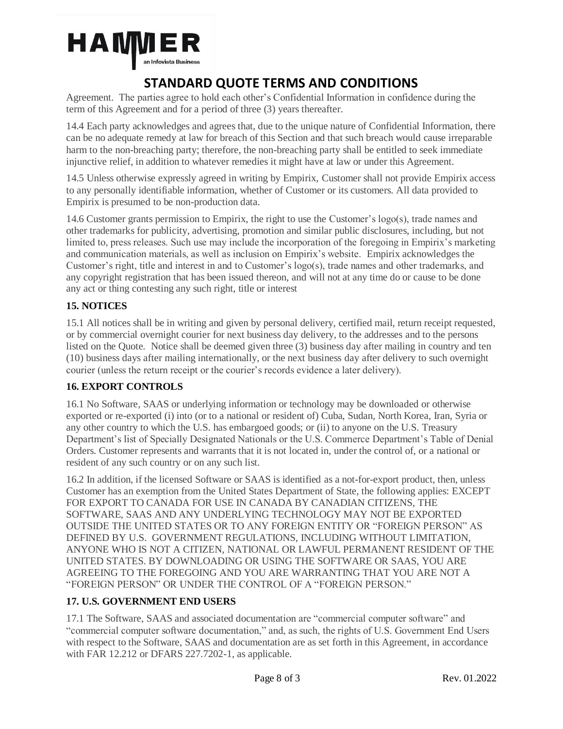

Agreement. The parties agree to hold each other's Confidential Information in confidence during the term of this Agreement and for a period of three (3) years thereafter.

14.4 Each party acknowledges and agrees that, due to the unique nature of Confidential Information, there can be no adequate remedy at law for breach of this Section and that such breach would cause irreparable harm to the non-breaching party; therefore, the non-breaching party shall be entitled to seek immediate injunctive relief, in addition to whatever remedies it might have at law or under this Agreement.

14.5 Unless otherwise expressly agreed in writing by Empirix, Customer shall not provide Empirix access to any personally identifiable information, whether of Customer or its customers. All data provided to Empirix is presumed to be non-production data.

14.6 Customer grants permission to Empirix, the right to use the Customer's  $log<sub>o</sub>(s)$ , trade names and other trademarks for publicity, advertising, promotion and similar public disclosures, including, but not limited to, press releases. Such use may include the incorporation of the foregoing in Empirix's marketing and communication materials, as well as inclusion on Empirix's website. Empirix acknowledges the Customer's right, title and interest in and to Customer's logo(s), trade names and other trademarks, and any copyright registration that has been issued thereon, and will not at any time do or cause to be done any act or thing contesting any such right, title or interest

### **15. NOTICES**

15.1 All notices shall be in writing and given by personal delivery, certified mail, return receipt requested, or by commercial overnight courier for next business day delivery, to the addresses and to the persons listed on the Quote. Notice shall be deemed given three (3) business day after mailing in country and ten (10) business days after mailing internationally, or the next business day after delivery to such overnight courier (unless the return receipt or the courier's records evidence a later delivery).

### **16. EXPORT CONTROLS**

16.1 No Software, SAAS or underlying information or technology may be downloaded or otherwise exported or re-exported (i) into (or to a national or resident of) Cuba, Sudan, North Korea, Iran, Syria or any other country to which the U.S. has embargoed goods; or (ii) to anyone on the U.S. Treasury Department's list of Specially Designated Nationals or the U.S. Commerce Department's Table of Denial Orders. Customer represents and warrants that it is not located in, under the control of, or a national or resident of any such country or on any such list.

16.2 In addition, if the licensed Software or SAAS is identified as a not-for-export product, then, unless Customer has an exemption from the United States Department of State, the following applies: EXCEPT FOR EXPORT TO CANADA FOR USE IN CANADA BY CANADIAN CITIZENS, THE SOFTWARE, SAAS AND ANY UNDERLYING TECHNOLOGY MAY NOT BE EXPORTED OUTSIDE THE UNITED STATES OR TO ANY FOREIGN ENTITY OR "FOREIGN PERSON" AS DEFINED BY U.S. GOVERNMENT REGULATIONS, INCLUDING WITHOUT LIMITATION, ANYONE WHO IS NOT A CITIZEN, NATIONAL OR LAWFUL PERMANENT RESIDENT OF THE UNITED STATES. BY DOWNLOADING OR USING THE SOFTWARE OR SAAS, YOU ARE AGREEING TO THE FOREGOING AND YOU ARE WARRANTING THAT YOU ARE NOT A "FOREIGN PERSON" OR UNDER THE CONTROL OF A "FOREIGN PERSON."

#### **17. U.S. GOVERNMENT END USERS**

17.1 The Software, SAAS and associated documentation are "commercial computer software" and "commercial computer software documentation," and, as such, the rights of U.S. Government End Users with respect to the Software, SAAS and documentation are as set forth in this Agreement, in accordance with FAR 12.212 or DFARS 227.7202-1, as applicable.